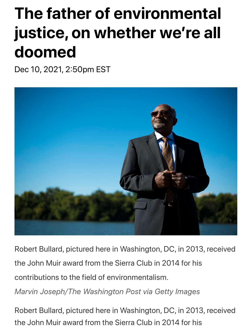# **The father of environmental justice, on whether we're all doomed**

Dec 10, 2021, 2:50pm EST



Robert Bullard, pictured here in Washington, DC, in 2013, received the John Muir award from the Sierra Club in 2014 for his contributions to the field of environmentalism.

*Marvin Joseph/The Washington Post via Getty Images*

Robert Bullard, pictured here in Washington, DC, in 2013, received the John Muir award from the Sierra Club in 2014 for his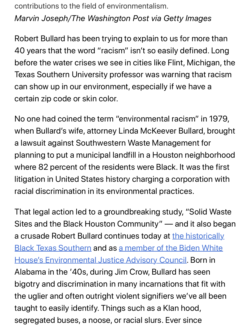contributions to the field of environmentalism. *Marvin Joseph/The Washington Post via Getty Images*

Robert Bullard has been trying to explain to us for more than 40 years that the word "racism" isn't so easily defined. Long before the water crises we see in cities like Flint, Michigan, the Texas Southern University professor was warning that racism can show up in our environment, especially if we have a certain zip code or skin color.

No one had coined the term "environmental racism" in 1979, when Bullard's wife, attorney Linda McKeever Bullard, brought a lawsuit against Southwestern Waste Management for planning to put a municipal landfill in a Houston neighborhood where 82 percent of the residents were Black. It was the first litigation in United States history charging a corporation with racial discrimination in its environmental practices.

That legal action led to a groundbreaking study, "Solid Waste [Sites and the Black Houston Community" — and it also beg](http://www.tsu.edu/academics/colleges-and-schools/bjml-school-public-affairs/departments/urban-planning-and-environmental-policy/faculty/dr.-robert-bullard.html)an [a crusade Robert Bullard continues today at the historically](https://www.rollingstone.com/politics/politics-features/environmental-justice-joe-biden-plan-2020-analysis-1081802/) Black Texas Southern and as a member of the Biden White House's Environmental Justice Advisory Council. Born in Alabama in the '40s, during Jim Crow, Bullard has seen bigotry and discrimination in many incarnations that fit with the uglier and often outright violent signifiers we've all been taught to easily identify. Things such as a Klan hood, segregated buses, a noose, or racial slurs. Ever since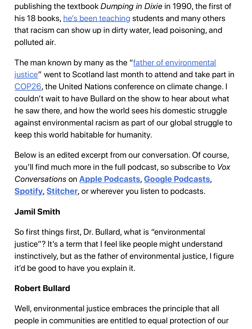publishing th[e textbook](https://drrobertbullard.com/biography/) *Dumping in Dixie* in 1990, the first of his 18 books, he's been teaching students and many others that racism can show up in dirty water, lead poisoning, and polluted air.

[The man known by many as the "father of environmental](https://drrobertbullard.com/) [justice"](https://www.vox.com/22777957/cop26-un-climate-change-conference-glasgow-goals-paris) went to Scotland last month to attend and take part in COP26, the United Nations conference on climate change. I couldn't wait to have Bullard on the show to hear about what he saw there, and how the world sees his domestic struggle against environmental racism as part of our global struggle to keep this world habitable for humanity.

Below is an edited excerpt from our conversation. Of course, you'll find much [more in the full pod](https://apps.apple.com/us/app/vox-conversations/id1215557536)[cast, so subscribe t](https://podcasts.google.com/search/vox%20conversations)o *Vox [Convers](https://open.spotify.com/show/6NOJ6IkTb2GWMj1RpmtnxP)[ations](https://www.stitcher.com/show/vox-conversations)* on **Apple Podcasts**, **Google Podcasts**, **Spotify**, **Stitcher**, or wherever you listen to podcasts.

## **Jamil Smith**

So first things first, Dr. Bullard, what is "environmental justice"? It's a term that I feel like people might understand instinctively, but as the father of environmental justice, I figure it'd be good to have you explain it.

#### **Robert Bullard**

Well, environmental justice embraces the principle that all people in communities are entitled to equal protection of our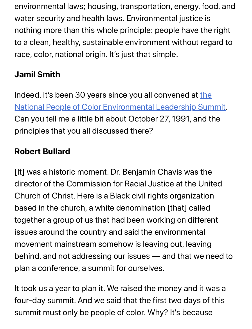environmental laws; housing, transportation, energy, food, and water security and health laws. Environmental justice is nothing more than this whole principle: people have the right to a clean, healthy, sustainable environment without regard to race, color, national origin. It's just that simple.

# **Jamil Smith**

[Indeed. It's been 30 years since you all convened at the](https://grist.org/equity/the-event-that-changed-the-environmental-justice-movement-forever/) National People of Color Environmental Leadership Summit. Can you tell me a little bit about October 27, 1991, and the principles that you all discussed there?

# **Robert Bullard**

[It] was a historic moment. Dr. Benjamin Chavis was the director of the Commission for Racial Justice at the United Church of Christ. Here is a Black civil rights organization based in the church, a white denomination [that] called together a group of us that had been working on different issues around the country and said the environmental movement mainstream somehow is leaving out, leaving behind, and not addressing our issues — and that we need to plan a conference, a summit for ourselves.

It took us a year to plan it. We raised the money and it was a four-day summit. And we said that the first two days of this summit must only be people of color. Why? It's because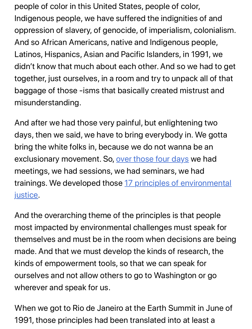people of color in this United States, people of color, Indigenous people, we have suffered the indignities of and oppression of slavery, of genocide, of imperialism, colonialism. And so African Americans, native and Indigenous people, Latinos, Hispanics, Asian and Pacific Islanders, in 1991, we didn't know that much about each other. And so we had to get together, just ourselves, in a room and try to unpack all of that baggage of those -isms that basically created mistrust and misunderstanding.

And after we had those very painful, but enlightening two days, then we said, we have to bring everybody in. We gotta bring the white folks in, beca[use we do not wanna](https://www.reimaginerpe.org/20years/alston) be an exclusionary movement. So, over those four days we had meetings, we had sessions, we had seminars, we had [trainings. We developed those 17 principles of environmental](https://www.ucc.org/what-we-do/justice-local-church-ministries/justice/faithful-action-ministries/environmental-justice/principles_of_environmental_justice/) justice.

And the overarching theme of the principles is that people most impacted by environmental challenges must speak for themselves and must be in the room when decisions are being made. And that we must develop the kinds of research, the kinds of empowerment tools, so that we can speak for ourselves and not allow others to go to Washington or go wherever and speak for us.

When we got to Rio de Janeiro at the Earth Summit in June of 1991, those principles had been translated into at least a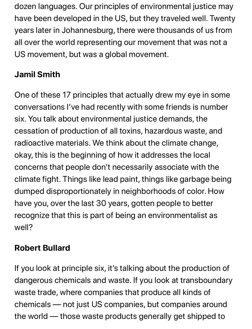dozen languages. Our principles of environmental justice may have been developed in the US, but they traveled well. Twenty years later in Johannesburg, there were thousands of us from all over the world representing our movement that was not a US movement, but was a global movement.

# **Jamil Smith**

One of these 17 principles that actually drew my eye in some conversations I've had recently with some friends is number six. You talk about environmental justice demands, the cessation of production of all toxins, hazardous waste, and radioactive materials. We think about the climate change, okay, this is the beginning of how it addresses the local concerns that people don't necessarily associate with the climate fight. Things like lead paint, things like garbage being dumped disproportionately in neighborhoods of color. How have you, over the last 30 years, gotten people to better recognize that this is part of being an environmentalist as well?

# **Robert Bullard**

If you look at principle six, it's talking about the production of dangerous chemicals and waste. If you look at transboundary waste trade, where companies that produce all kinds of chemicals — not just US companies, but companies around the world — those waste products generally get shipped to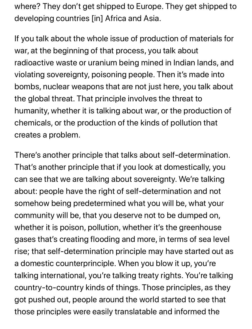where? They don't get shipped to Europe. They get shipped to developing countries [in] Africa and Asia.

If you talk about the whole issue of production of materials for war, at the beginning of that process, you talk about radioactive waste or uranium being mined in Indian lands, and violating sovereignty, poisoning people. Then it's made into bombs, nuclear weapons that are not just here, you talk about the global threat. That principle involves the threat to humanity, whether it is talking about war, or the production of chemicals, or the production of the kinds of pollution that creates a problem.

There's another principle that talks about self-determination. That's another principle that if you look at domestically, you can see that we are talking about sovereignty. We're talking about: people have the right of self-determination and not somehow being predetermined what you will be, what your community will be, that you deserve not to be dumped on, whether it is poison, pollution, whether it's the greenhouse gases that's creating flooding and more, in terms of sea level rise; that self-determination principle may have started out as a domestic counterprinciple. When you blow it up, you're talking international, you're talking treaty rights. You're talking country-to-country kinds of things. Those principles, as they got pushed out, people around the world started to see that those principles were easily translatable and informed the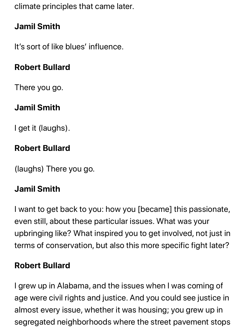climate principles that came later.

# **Jamil Smith**

It's sort of like blues' influence.

# **Robert Bullard**

There you go.

# **Jamil Smith**

I get it (laughs).

## **Robert Bullard**

(laughs) There you go.

# **Jamil Smith**

I want to get back to you: how you [became] this passionate, even still, about these particular issues. What was your upbringing like? What inspired you to get involved, not just in terms of conservation, but also this more specific fight later?

## **Robert Bullard**

I grew up in Alabama, and the issues when I was coming of age were civil rights and justice. And you could see justice in almost every issue, whether it was housing; you grew up in segregated neighborhoods where the street pavement stops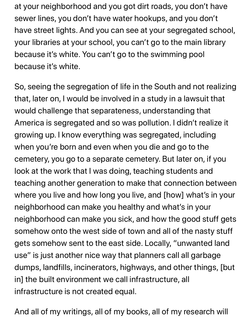at your neighborhood and you got dirt roads, you don't have sewer lines, you don't have water hookups, and you don't have street lights. And you can see at your segregated school, your libraries at your school, you can't go to the main library because it's white. You can't go to the swimming pool because it's white.

So, seeing the segregation of life in the South and not realizing that, later on, I would be involved in a study in a lawsuit that would challenge that separateness, understanding that America is segregated and so was pollution. I didn't realize it growing up. I know everything was segregated, including when you're born and even when you die and go to the cemetery, you go to a separate cemetery. But later on, if you look at the work that I was doing, teaching students and teaching another generation to make that connection between where you live and how long you live, and [how] what's in your neighborhood can make you healthy and what's in your neighborhood can make you sick, and how the good stuff gets somehow onto the west side of town and all of the nasty stuff gets somehow sent to the east side. Locally, "unwanted land use" is just another nice way that planners call all garbage dumps, landfills, incinerators, highways, and other things, [but in] the built environment we call infrastructure, all infrastructure is not created equal.

And all of my writings, all of my books, all of my research will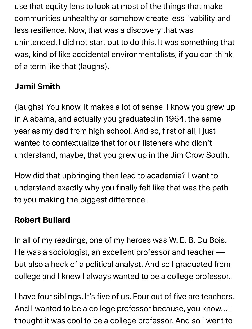use that equity lens to look at most of the things that make communities unhealthy or somehow create less livability and less resilience. Now, that was a discovery that was unintended. I did not start out to do this. It was something that was, kind of like accidental environmentalists, if you can think of a term like that (laughs).

# **Jamil Smith**

(laughs) You know, it makes a lot of sense. I know you grew up in Alabama, and actually you graduated in 1964, the same year as my dad from high school. And so, first of all, I just wanted to contextualize that for our listeners who didn't understand, maybe, that you grew up in the Jim Crow South.

How did that upbringing then lead to academia? I want to understand exactly why you finally felt like that was the path to you making the biggest difference.

## **Robert Bullard**

In all of my readings, one of my heroes was W. E. B. Du Bois. He was a sociologist, an excellent professor and teacher but also a heck of a political analyst. And so I graduated from college and I knew I always wanted to be a college professor.

I have four siblings. It's five of us. Four out of five are teachers. And I wanted to be a college professor because, you know... I thought it was cool to be a college professor. And so I went to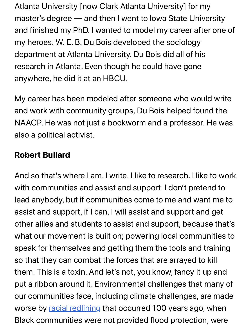Atlanta University [now Clark Atlanta University] for my master's degree — and then I went to Iowa State University and finished my PhD. I wanted to model my career after one of my heroes. W. E. B. Du Bois developed the sociology department at Atlanta University. Du Bois did all of his research in Atlanta. Even though he could have gone anywhere, he did it at an HBCU.

My career has been modeled after someone who would write and work with community groups, Du Bois helped found the NAACP. He was not just a bookworm and a professor. He was also a political activist.

## **Robert Bullard**

And so that's where I am. I write. I like to research. I like to work with communities and assist and support. I don't pretend to lead anybody, but if communities come to me and want me to assist and support, if I can, I will assist and support and get other allies and students to assist and support, because that's what our movement is built on; powering local communities to speak for themselves and getting them the tools and training so that they can combat the forces that are arrayed to kill them. This is a toxin. And let's not, you know, fancy it up and put a ribbon around it. Environmental challenges that many of our com[munities face, in](https://www.vox.com/2016/6/6/11852640/cartoon-poor-neighborhoods)cluding climate challenges, are made worse by racial redlining that occurred 100 years ago, when Black communities were not provided flood protection, were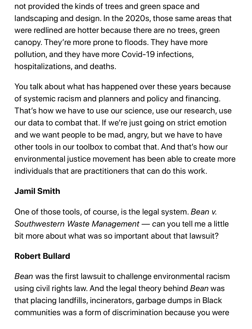not provided the kinds of trees and green space and landscaping and design. In the 2020s, those same areas that were redlined are hotter because there are no trees, green canopy. They're more prone to floods. They have more pollution, and they have more Covid-19 infections, hospitalizations, and deaths.

You talk about what has happened over these years because of systemic racism and planners and policy and financing. That's how we have to use our science, use our research, use our data to combat that. If we're just going on strict emotion and we want people to be mad, angry, but we have to have other tools in our toolbox to combat that. And that's how our environmental justice movement has been able to create more individuals that are practitioners that can do this work.

# **Jamil Smith**

One of those tools, of course, is the legal system. *Bean v. Southwestern Waste Management — c*an you tell me a little bit more about what was so important about that lawsuit?

## **Robert Bullard**

*Bean* was the first lawsuit to challenge environmental racism using civil rights law. And the legal theory behind *Bean* was that placing landfills, incinerators, garbage dumps in Black communities was a form of discrimination because you were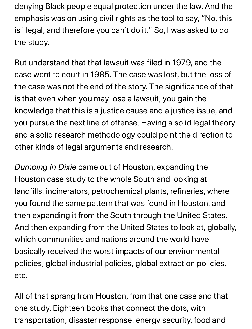denying Black people equal protection under the law. And the emphasis was on using civil rights as the tool to say, "No, this is illegal, and therefore you can't do it." So, I was asked to do the study.

But understand that that lawsuit was filed in 1979, and the case went to court in 1985. The case was lost, but the loss of the case was not the end of the story. The significance of that is that even when you may lose a lawsuit, you gain the knowledge that this is a justice cause and a justice issue, and you pursue the next line of offense. Having a solid legal theory and a solid research methodology could point the direction to other kinds of legal arguments and research.

*Dumping in Dixie* came out of Houston, expanding the Houston case study to the whole South and looking at landfills, incinerators, petrochemical plants, refineries, where you found the same pattern that was found in Houston, and then expanding it from the South through the United States. And then expanding from the United States to look at, globally, which communities and nations around the world have basically received the worst impacts of our environmental policies, global industrial policies, global extraction policies, etc.

All of that sprang from Houston, from that one case and that one study. Eighteen books that connect the dots, with transportation, disaster response, energy security, food and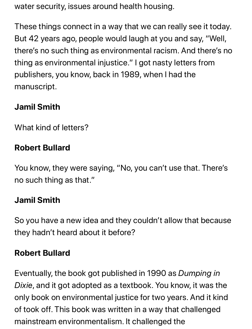water security, issues around health housing.

These things connect in a way that we can really see it today. But 42 years ago, people would laugh at you and say, "Well, there's no such thing as environmental racism. And there's no thing as environmental injustice." I got nasty letters from publishers, you know, back in 1989, when I had the manuscript.

# **Jamil Smith**

What kind of letters?

#### **Robert Bullard**

You know, they were saying, "No, you can't use that. There's no such thing as that."

## **Jamil Smith**

So you have a new idea and they couldn't allow that because they hadn't heard about it before?

## **Robert Bullard**

Eventually, the book got published in 1990 as *Dumping in Dixie*, and it got adopted as a textbook. You know, it was the only book on environmental justice for two years. And it kind of took off. This book was written in a way that challenged mainstream environmentalism. It challenged the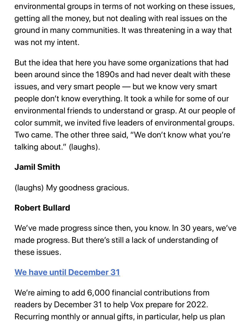environmental groups in terms of not working on these issues, getting all the money, but not dealing with real issues on the ground in many communities. It was threatening in a way that was not my intent.

But the idea that here you have some organizations that had been around since the 1890s and had never dealt with these issues, and very smart people — but we know very smart people don't know everything. It took a while for some of our environmental friends to understand or grasp. At our people of color summit, we invited five leaders of environmental groups. Two came. The other three said, "We don't know what you're talking about." (laughs).

## **Jamil Smith**

(laughs) My goodness gracious.

## **Robert Bullard**

We've made progress since then, you know. In 30 years, we've made progress. But there's still a lack of understanding of [these issues.](https://www.vox.com/pages/support-now-hv4?itm_campaign=eoy-2021-b&itm_medium=article&itm_source=article-footer)

## **We have until December 31**

We're aiming to add 6,000 financial contributions from readers by December 31 to help Vox prepare for 2022. Recurring monthly or annual gifts, in particular, help us plan